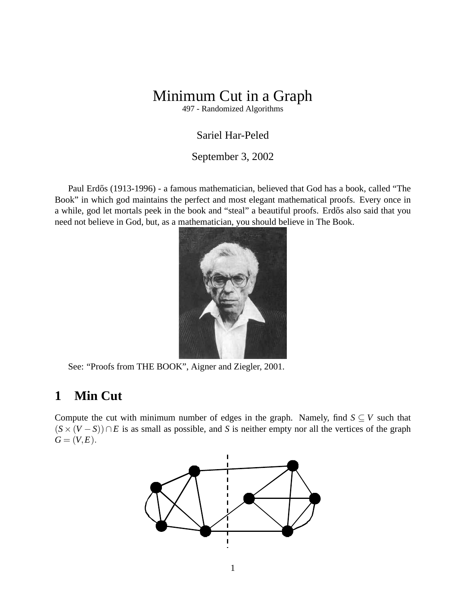# Minimum Cut in a Graph

497 - Randomized Algorithms

### Sariel Har-Peled

#### September 3, 2002

Paul Erdős (1913-1996) - a famous mathematician, believed that God has a book, called "The Book" in which god maintains the perfect and most elegant mathematical proofs. Every once in a while, god let mortals peek in the book and "steal" a beautiful proofs. Erdős also said that you need not believe in God, but, as a mathematician, you should believe in The Book.



See: "Proofs from THE BOOK", Aigner and Ziegler, 2001.

# **1 Min Cut**

Compute the cut with minimum number of edges in the graph. Namely, find  $S \subseteq V$  such that  $(S \times (V - S)) \cap E$  is as small as possible, and *S* is neither empty nor all the vertices of the graph  $G = (V, E).$ 

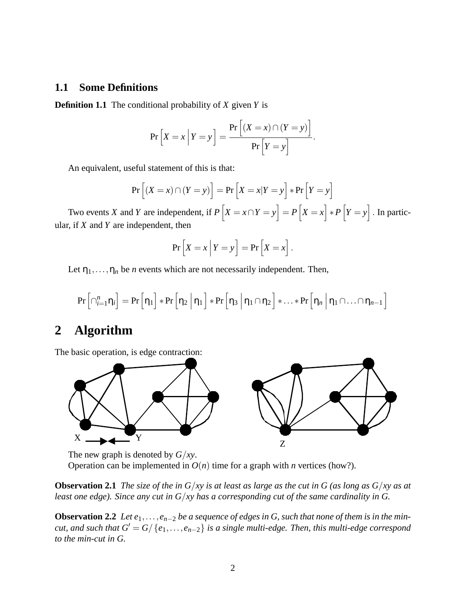#### **1.1 Some Definitions**

**Definition 1.1** The conditional probability of *X* given *Y* is

$$
\Pr\left[X = x \middle| Y = y\right] = \frac{\Pr\left[(X = x) \cap (Y = y)\right]}{\Pr\left[Y = y\right]}.
$$

An equivalent, useful statement of this is that:

$$
\Pr\left[\left(X=x\right) \cap \left(Y=y\right)\right] = \Pr\left[X=x|Y=y\right] * \Pr\left[Y=y\right]
$$

Two events *X* and *Y* are independent, if  $P\left[X = x \cap Y = y\right] = P\left[X = x\right] * P\left[Y = y\right]$ . In particular, if *X* and *Y* are independent, then

$$
\Pr\left[X = x \middle| Y = y\right] = \Pr\left[X = x\right].
$$

Let  $\eta_1, \ldots, \eta_n$  be *n* events which are not necessarily independent. Then,

$$
\Pr\left[\cap_{i=1}^{n}\eta_{i}\right] = \Pr\left[\eta_{1}\right] * \Pr\left[\eta_{2} \,\middle|\, \eta_{1}\right] * \Pr\left[\eta_{3} \,\middle|\, \eta_{1} \cap \eta_{2}\right] * \ldots * \Pr\left[\eta_{n} \,\middle|\, \eta_{1} \cap \ldots \cap \eta_{n-1}\right]
$$

# **2 Algorithm**

The basic operation, is edge contraction:



The new graph is denoted by *G*/*xy*.

Operation can be implemented in  $O(n)$  time for a graph with *n* vertices (how?).

**Observation 2.1** *The size of the in G*/*xy is at least as large as the cut in G (as long as G*/*xy as at least one edge). Since any cut in G*/*xy has a corresponding cut of the same cardinality in G.*

**Observation 2.2** *Let e*1,...,*en*−<sup>2</sup> *be a sequence of edges in G, such that none of them is in the mincut, and such that*  $G' = G/{e_1, \ldots, e_{n-2}}$  *is a single multi-edge. Then, this multi-edge correspond to the min-cut in G.*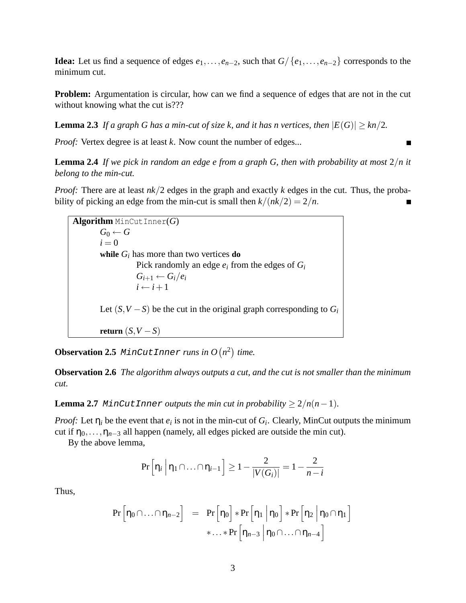**Idea:** Let us find a sequence of edges  $e_1, \ldots, e_{n-2}$ , such that  $G / \{e_1, \ldots, e_{n-2}\}$  corresponds to the minimum cut.

**Problem:** Argumentation is circular, how can we find a sequence of edges that are not in the cut without knowing what the cut is???

**Lemma 2.3** *If a graph G has a min-cut of size k, and it has n vertices, then*  $|E(G)| \geq kn/2$ *.* 

*Proof:* Vertex degree is at least *k*. Now count the number of edges...

**Lemma 2.4** *If we pick in random an edge e from a graph G, then with probability at most* 2/*n it belong to the min-cut.*

*Proof:* There are at least  $nk/2$  edges in the graph and exactly k edges in the cut. Thus, the probability of picking an edge from the min-cut is small then  $k/(nk/2) = 2/n$ .

**Algorithm** MinCutInner(*G*)  $G_0 \leftarrow G$  $i = 0$ **while** *G<sup>i</sup>* has more than two vertices **do** Pick randomly an edge *e<sup>i</sup>* from the edges of *G<sup>i</sup>*  $G_{i+1} \leftarrow G_i/e_i$  $i \leftarrow i+1$ Let  $(S, V - S)$  be the cut in the original graph corresponding to  $G_i$ **return**  $(S, V - S)$ 

**Observation 2.5** MinCutInner *runs in O* $(n^2)$  time.

**Observation 2.6** *The algorithm always outputs a cut, and the cut is not smaller than the minimum cut.*

**Lemma 2.7** MinCutInner *outputs the min cut in probability*  $\geq 2/n(n-1)$ *.* 

*Proof:* Let  $\eta_i$  be the event that  $e_i$  is not in the min-cut of  $G_i$ . Clearly, MinCut outputs the minimum cut if  $\eta_0, \ldots, \eta_{n-3}$  all happen (namely, all edges picked are outside the min cut).

By the above lemma,

$$
\Pr\left[\eta_i \middle| \eta_1 \cap \ldots \cap \eta_{i-1}\right] \ge 1 - \frac{2}{|V(G_i)|} = 1 - \frac{2}{n-i}
$$

Thus,

$$
\Pr\left[\eta_0 \cap \ldots \cap \eta_{n-2}\right] = \Pr\left[\eta_0\right] * \Pr\left[\eta_1 \mid \eta_0\right] * \Pr\left[\eta_2 \mid \eta_0 \cap \eta_1\right] \\
* \ldots * \Pr\left[\eta_{n-3} \mid \eta_0 \cap \ldots \cap \eta_{n-4}\right]
$$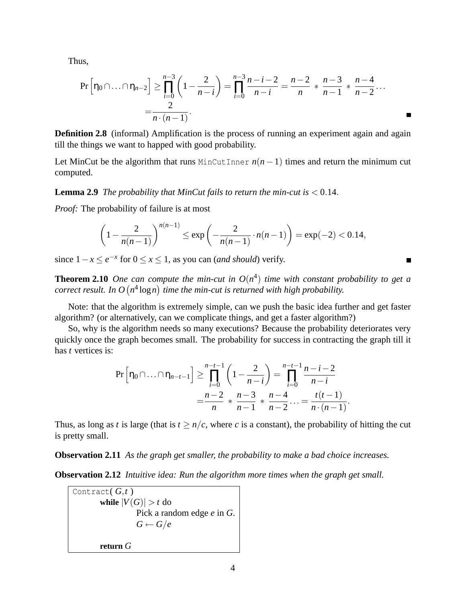Thus,

$$
\Pr\left[\eta_0 \cap \ldots \cap \eta_{n-2}\right] \ge \prod_{i=0}^{n-3} \left(1 - \frac{2}{n-i}\right) = \prod_{i=0}^{n-3} \frac{n-i-2}{n-i} = \frac{n-2}{n} * \frac{n-3}{n-1} * \frac{n-4}{n-2} \ldots
$$

$$
= \frac{2}{n \cdot (n-1)}.
$$

**Definition 2.8** (informal) Amplification is the process of running an experiment again and again till the things we want to happed with good probability.

Let MinCut be the algorithm that runs MinCutInner  $n(n-1)$  times and return the minimum cut computed.

**Lemma 2.9** *The probability that MinCut fails to return the min-cut is*  $< 0.14$ *.* 

*Proof:* The probability of failure is at most

$$
\left(1 - \frac{2}{n(n-1)}\right)^{n(n-1)} \le \exp\left(-\frac{2}{n(n-1)} \cdot n(n-1)\right) = \exp(-2) < 0.14,
$$

since  $1 - x \le e^{-x}$  for  $0 \le x \le 1$ , as you can *(and should)* verify.

**Theorem 2.10** *One can compute the min-cut in*  $O(n^4)$  *time with constant probability to get a correct result. In*  $O(n^4 \log n)$  time the min-cut is returned with high probability.

Note: that the algorithm is extremely simple, can we push the basic idea further and get faster algorithm? (or alternatively, can we complicate things, and get a faster algorithm?)

So, why is the algorithm needs so many executions? Because the probability deteriorates very quickly once the graph becomes small. The probability for success in contracting the graph till it has *t* vertices is:

$$
\Pr\left[\eta_0 \cap \ldots \cap \eta_{n-t-1}\right] \ge \prod_{i=0}^{n-t-1} \left(1 - \frac{2}{n-i}\right) = \prod_{i=0}^{n-t-1} \frac{n-i-2}{n-i}
$$

$$
= \frac{n-2}{n} * \frac{n-3}{n-1} * \frac{n-4}{n-2} \ldots = \frac{t(t-1)}{n \cdot (n-1)}
$$

.

Thus, as long as *t* is large (that is  $t \geq n/c$ , where *c* is a constant), the probability of hitting the cut is pretty small.

**Observation 2.11** *As the graph get smaller, the probability to make a bad choice increases.*

**Observation 2.12** *Intuitive idea: Run the algorithm more times when the graph get small.*

Contract( *G*,*t* ) **while**  $|V(G)| > t$  do Pick a random edge *e* in *G*.  $G \leftarrow G/e$ **return** *G*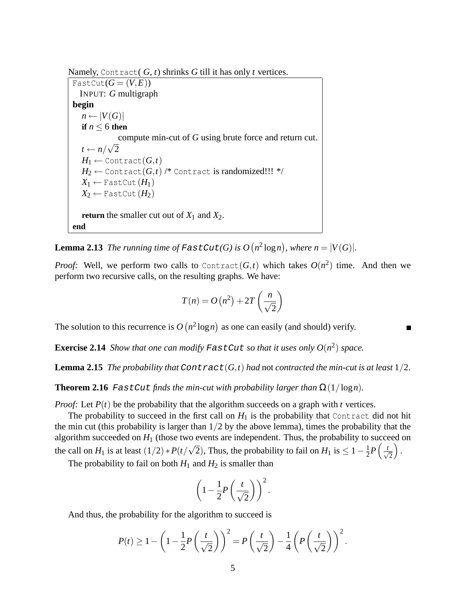Namely, Contract( *G*, *t*) shrinks *G* till it has only *t* vertices.

FastCut $(G = (V, E))$ INPUT: *G* multigraph **begin**  $n \leftarrow |V(G)|$ **if**  $n \leq 6$  **then** compute min-cut of *G* using brute force and return cut.  $t \leftarrow n/$ √ 2  $H_1 \leftarrow$  Contract $(G,t)$  $H_2 \leftarrow$  Contract $(G,t)$  /\* Contract is randomized!!! \*/  $X_1 \leftarrow$  FastCut $(H_1)$  $X_2 \leftarrow$  FastCut  $(H_2)$ **return** the smaller cut out of  $X_1$  and  $X_2$ . **end**

**Lemma 2.13** *The running time of FastCut(G) is*  $O(n^2 \log n)$ *, where*  $n = |V(G)|$ *.* 

*Proof:* Well, we perform two calls to Contract $(G,t)$  which takes  $O(n^2)$  time. And then we perform two recursive calls, on the resulting graphs. We have:

$$
T(n) = O(n^2) + 2T\left(\frac{n}{\sqrt{2}}\right)
$$

The solution to this recurrence is  $O(n^2 \log n)$  as one can easily (and should) verify.

**Exercise 2.14** *Show that one can modify FastCut so that it uses only*  $O(n^2)$  *space.* 

**Lemma 2.15** *The probability that*  $\text{Contract}(G,t)$  *had* not *contracted the min-cut is at least*  $1/2$ .

**Theorem 2.16** FastCut finds the min-cut with probability larger than  $\Omega(1/\log n)$ .

*Proof:* Let *P*(*t*) be the probability that the algorithm succeeds on a graph with *t* vertices.

The probability to succeed in the first call on  $H_1$  is the probability that Contract did not hit the min cut (this probability is larger than  $1/2$  by the above lemma), times the probability that the algorithm succeeded on  $H_1$  (those two events are independent. Thus, the probability to succeed on the call on  $H_1$  is at least  $(1/2) * P(t)$ √  $\overline{2}$ ), Thus, the probability to fail on  $H_1$  is  $\leq 1-\frac{1}{2}$  $\frac{1}{2}P\left(\frac{t}{\sqrt{2}}\right)$ 2  $\big).$ 

The probability to fail on both  $H_1$  and  $H_2$  is smaller than

$$
\left(1-\frac{1}{2}P\left(\frac{t}{\sqrt{2}}\right)\right)^2.
$$

And thus, the probability for the algorithm to succeed is

$$
P(t) \geq 1 - \left(1 - \frac{1}{2}P\left(\frac{t}{\sqrt{2}}\right)\right)^2 = P\left(\frac{t}{\sqrt{2}}\right) - \frac{1}{4}\left(P\left(\frac{t}{\sqrt{2}}\right)\right)^2.
$$